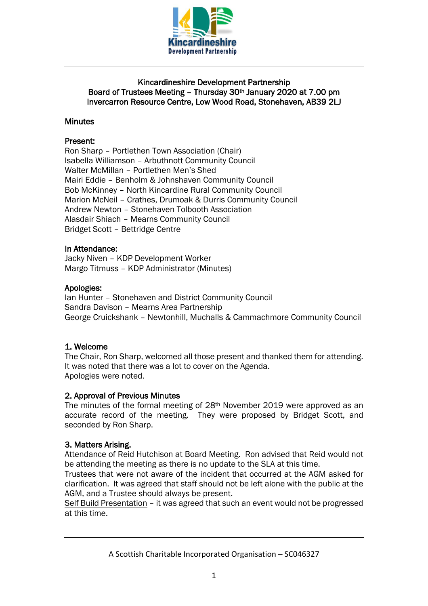

## Kincardineshire Development Partnership Board of Trustees Meeting – Thursday 30th January 2020 at 7.00 pm Invercarron Resource Centre, Low Wood Road, Stonehaven, AB39 2LJ

## **Minutes**

## Present:

Ron Sharp – Portlethen Town Association (Chair) Isabella Williamson – Arbuthnott Community Council Walter McMillan – Portlethen Men's Shed Mairi Eddie – Benholm & Johnshaven Community Council Bob McKinney – North Kincardine Rural Community Council Marion McNeil – Crathes, Drumoak & Durris Community Council Andrew Newton – Stonehaven Tolbooth Association Alasdair Shiach – Mearns Community Council Bridget Scott – Bettridge Centre

#### In Attendance:

Jacky Niven – KDP Development Worker Margo Titmuss – KDP Administrator (Minutes)

#### Apologies:

Ian Hunter – Stonehaven and District Community Council Sandra Davison – Mearns Area Partnership George Cruickshank – Newtonhill, Muchalls & Cammachmore Community Council

## 1. Welcome

The Chair, Ron Sharp, welcomed all those present and thanked them for attending. It was noted that there was a lot to cover on the Agenda. Apologies were noted.

## 2. Approval of Previous Minutes

The minutes of the formal meeting of 28th November 2019 were approved as an accurate record of the meeting. They were proposed by Bridget Scott, and seconded by Ron Sharp.

## 3. Matters Arising.

Attendance of Reid Hutchison at Board Meeting. Ron advised that Reid would not be attending the meeting as there is no update to the SLA at this time.

Trustees that were not aware of the incident that occurred at the AGM asked for clarification. It was agreed that staff should not be left alone with the public at the AGM, and a Trustee should always be present.

Self Build Presentation – it was agreed that such an event would not be progressed at this time.

A Scottish Charitable Incorporated Organisation – SC046327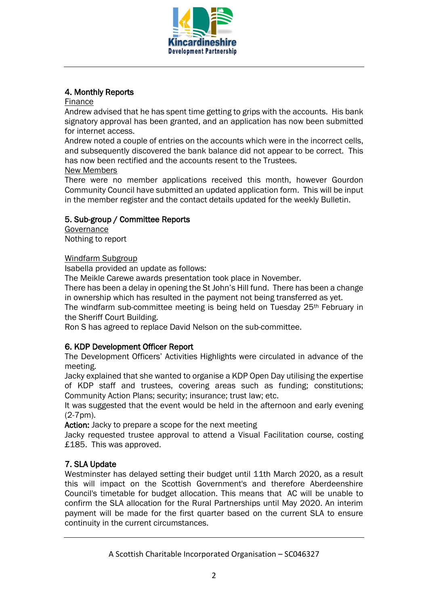

# 4. Monthly Reports

#### Finance

Andrew advised that he has spent time getting to grips with the accounts. His bank signatory approval has been granted, and an application has now been submitted for internet access.

Andrew noted a couple of entries on the accounts which were in the incorrect cells, and subsequently discovered the bank balance did not appear to be correct. This has now been rectified and the accounts resent to the Trustees.

#### New Members

There were no member applications received this month, however Gourdon Community Council have submitted an updated application form. This will be input in the member register and the contact details updated for the weekly Bulletin.

# 5. Sub-group / Committee Reports

Governance Nothing to report

## Windfarm Subgroup

Isabella provided an update as follows:

The Meikle Carewe awards presentation took place in November.

There has been a delay in opening the St John's Hill fund. There has been a change in ownership which has resulted in the payment not being transferred as yet.

The windfarm sub-committee meeting is being held on Tuesday 25<sup>th</sup> February in the Sheriff Court Building.

Ron S has agreed to replace David Nelson on the sub-committee.

## 6. KDP Development Officer Report

The Development Officers' Activities Highlights were circulated in advance of the meeting.

Jacky explained that she wanted to organise a KDP Open Day utilising the expertise of KDP staff and trustees, covering areas such as funding; constitutions; Community Action Plans; security; insurance; trust law; etc.

It was suggested that the event would be held in the afternoon and early evening (2-7pm).

Action: Jacky to prepare a scope for the next meeting

Jacky requested trustee approval to attend a Visual Facilitation course, costing £185. This was approved.

# 7. SLA Update

Westminster has delayed setting their budget until 11th March 2020, as a result this will impact on the Scottish Government's and therefore Aberdeenshire Council's timetable for budget allocation. This means that AC will be unable to confirm the SLA allocation for the Rural Partnerships until May 2020. An interim payment will be made for the first quarter based on the current SLA to ensure continuity in the current circumstances.

A Scottish Charitable Incorporated Organisation – SC046327